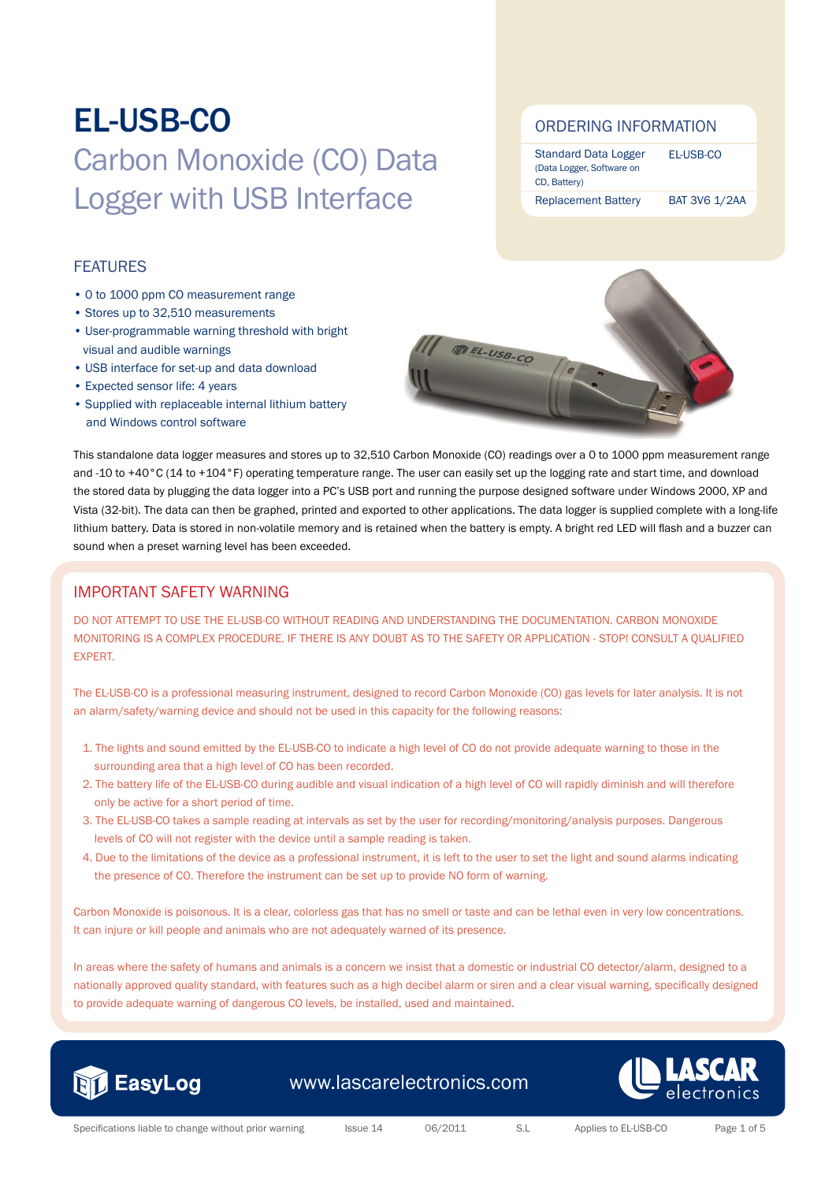### FEATURES

- 0 to 1000 ppm CO measurement range
- Stores up to 32,510 measurements
- User-programmable warning threshold with bright visual and audible warnings
- USB interface for set-up and data download
- Expected sensor life: 4 years
- Supplied with replaceable internal lithium battery and Windows control software

### ORDERING INFORMATION

Standard Data Logger (Data Logger, Software on CD, Battery) Replacement Battery EL-USB-CO BAT 3V6 1/2AA



This standalone data logger measures and stores up to 32,510 Carbon Monoxide (CO) readings over a 0 to 1000 ppm measurement range and -10 to +40°C (14 to +104°F) operating temperature range. The user can easily set up the logging rate and start time, and download the stored data by plugging the data logger into a PC's USB port and running the purpose designed software under Windows 2000, XP and Vista (32-bit). The data can then be graphed, printed and exported to other applications. The data logger is supplied complete with a long-life lithium battery. Data is stored in non-volatile memory and is retained when the battery is empty. A bright red LED will flash and a buzzer can sound when a preset warning level has been exceeded.

### IMPORTANT SAFETY WARNING

DO NOT ATTEMPT TO USE THE EL-USB-CO WITHOUT READING AND UNDERSTANDING THE DOCUMENTATION. CARBON MONOXIDE MONITORING IS A COMPLEX PROCEDURE. IF THERE IS ANY DOUBT AS TO THE SAFETY OR APPLICATION - STOP! CONSULT A QUALIFIED EXPERT.

The EL-USB-CO is a professional measuring instrument, designed to record Carbon Monoxide (CO) gas levels for later analysis. It is not an alarm/safety/warning device and should not be used in this capacity for the following reasons:

- 1. The lights and sound emitted by the EL-USB-CO to indicate a high level of CO do not provide adequate warning to those in the surrounding area that a high level of CO has been recorded.
- 2. The battery life of the EL-USB-CO during audible and visual indication of a high level of CO will rapidly diminish and will therefore only be active for a short period of time.
- 3. The EL-USB-CO takes a sample reading at intervals as set by the user for recording/monitoring/analysis purposes. Dangerous levels of CO will not register with the device until a sample reading is taken.
- 4. Due to the limitations of the device as a professional instrument, it is left to the user to set the light and sound alarms indicating the presence of CO. Therefore the instrument can be set up to provide NO form of warning.

Carbon Monoxide is poisonous. It is a clear, colorless gas that has no smell or taste and can be lethal even in very low concentrations. It can injure or kill people and animals who are not adequately warned of its presence.

In areas where the safety of humans and animals is a concern we insist that a domestic or industrial CO detector/alarm, designed to a nationally approved quality standard, with features such as a high decibel alarm or siren and a clear visual warning, specifically designed to provide adequate warning of dangerous CO levels, be installed, used and maintained.



www.lascarelectronics.com

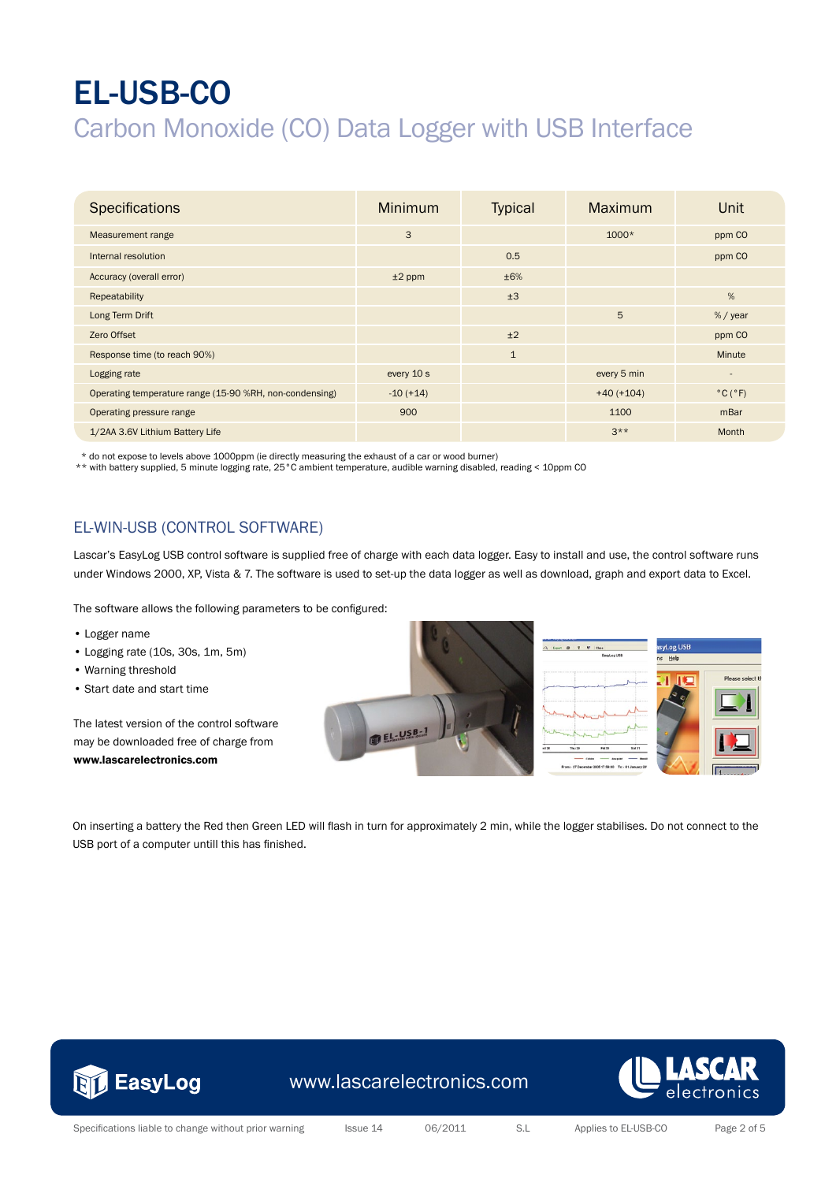| <b>Specifications</b>                                   | <b>Minimum</b> | <b>Typical</b> | Maximum      | Unit                         |
|---------------------------------------------------------|----------------|----------------|--------------|------------------------------|
| Measurement range                                       | 3              |                | $1000*$      | ppm CO                       |
| Internal resolution                                     |                | 0.5            |              | ppm CO                       |
| Accuracy (overall error)                                | $±2$ ppm       | ±6%            |              |                              |
| Repeatability                                           |                | ±3             |              | %                            |
| Long Term Drift                                         |                |                | 5            | $% /$ year                   |
| Zero Offset                                             |                | ±2             |              | ppm CO                       |
| Response time (to reach 90%)                            |                | $\mathbf{1}$   |              | Minute                       |
| Logging rate                                            | every 10 s     |                | every 5 min  | $\overline{\phantom{a}}$     |
| Operating temperature range (15-90 %RH, non-condensing) | $-10 (+14)$    |                | $+40 (+104)$ | $^{\circ}$ C ( $^{\circ}$ F) |
| Operating pressure range                                | 900            |                | 1100         | mBar                         |
| 1/2AA 3.6V Lithium Battery Life                         |                |                | $3***$       | Month                        |

\* do not expose to levels above 1000ppm (ie directly measuring the exhaust of a car or wood burner)

\*\* with battery supplied, 5 minute logging rate, 25°C ambient temperature, audible warning disabled, reading < 10ppm CO

### EL-WIN-USB (CONTROL SOFTWARE)

Lascar's EasyLog USB control software is supplied free of charge with each data logger. Easy to install and use, the control software runs under Windows 2000, XP, Vista & 7. The software is used to set-up the data logger as well as download, graph and export data to Excel.

The software allows the following parameters to be configured:

- Logger name
- Logging rate (10s, 30s, 1m, 5m)
- Warning threshold
- Start date and start time

The latest version of the control software may be downloaded free of charge from www.lascarelectronics.com





| og USB |                  |
|--------|------------------|
| Help   |                  |
|        | Please select tl |
|        |                  |
|        |                  |

On inserting a battery the Red then Green LED will flash in turn for approximately 2 min, while the logger stabilises. Do not connect to the USB port of a computer untill this has finished.



www.lascarelectronics.com

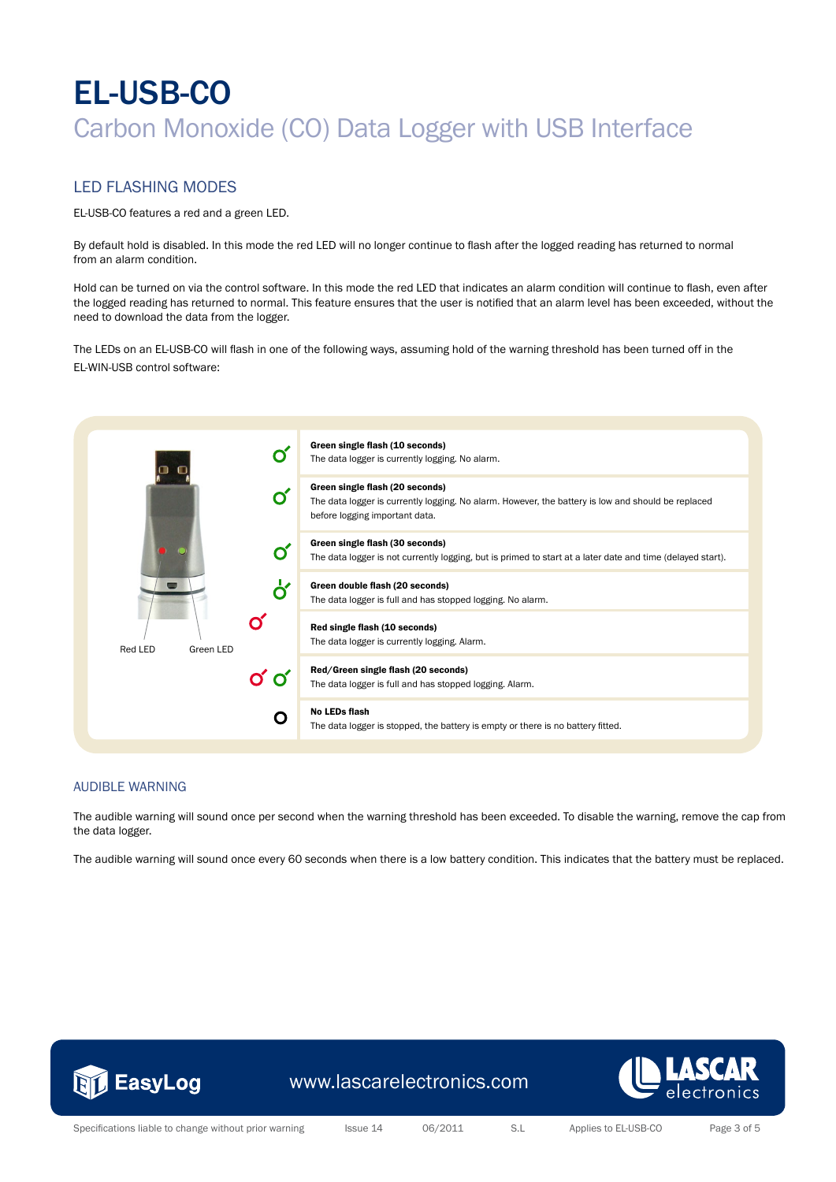#### LED FLASHING MODES

EL-USB-CO features a red and a green LED.

By default hold is disabled. In this mode the red LED will no longer continue to flash after the logged reading has returned to normal from an alarm condition.

Hold can be turned on via the control software. In this mode the red LED that indicates an alarm condition will continue to flash, even after the logged reading has returned to normal. This feature ensures that the user is notified that an alarm level has been exceeded, without the need to download the data from the logger.

The LEDs on an EL-USB-CO will flash in one of the following ways, assuming hold of the warning threshold has been turned off in the EL-WIN-USB control software:



#### AUDIBLE WARNING

The audible warning will sound once per second when the warning threshold has been exceeded. To disable the warning, remove the cap from the data logger.

The audible warning will sound once every 60 seconds when there is a low battery condition. This indicates that the battery must be replaced.



www.lascarelectronics.com



Specifications liable to change without prior warning Issue 14 06/2011 S.L Applies to EL-USB-CO Page 3 of 5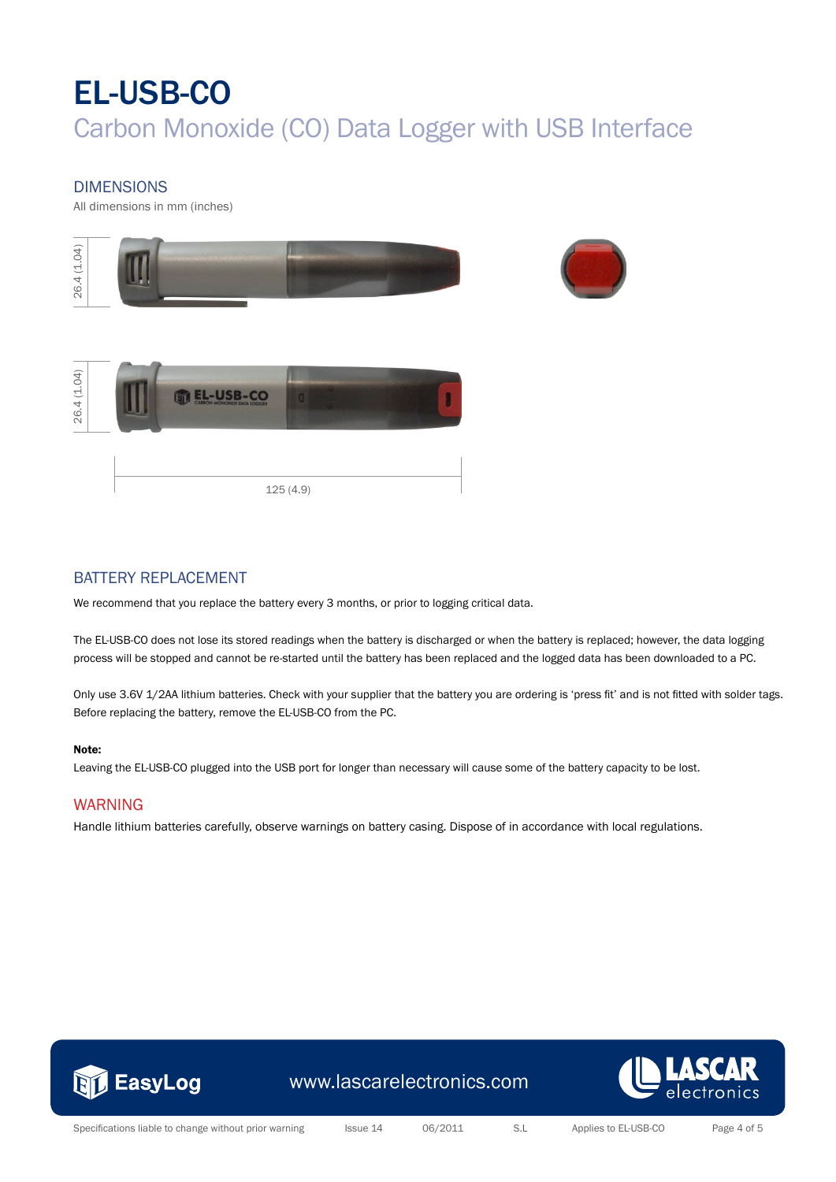### DIMENSIONS

All dimensions in mm (inches)



### BATTERY REPLACEMENT

We recommend that you replace the battery every 3 months, or prior to logging critical data.

The EL-USB-CO does not lose its stored readings when the battery is discharged or when the battery is replaced; however, the data logging process will be stopped and cannot be re-started until the battery has been replaced and the logged data has been downloaded to a PC.

Only use 3.6V 1/2AA lithium batteries. Check with your supplier that the battery you are ordering is 'press fit' and is not fitted with solder tags. Before replacing the battery, remove the EL-USB-CO from the PC.

#### Note:

Leaving the EL-USB-CO plugged into the USB port for longer than necessary will cause some of the battery capacity to be lost.

#### WARNING

Handle lithium batteries carefully, observe warnings on battery casing. Dispose of in accordance with local regulations.



www.lascarelectronics.com